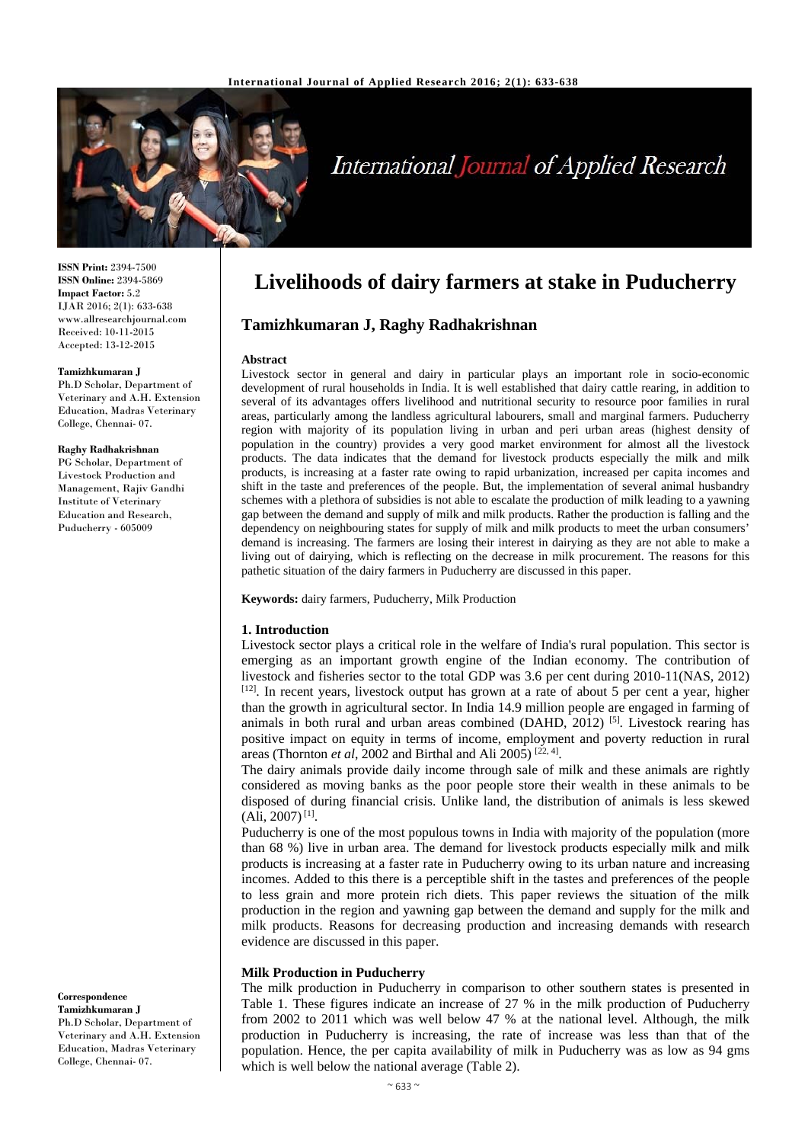

# International Journal of Applied Research

**ISSN Print:** 2394-7500 **ISSN Online:** 2394-5869 **Impact Factor:** 5.2 IJAR 2016; 2(1): 633-638 www.allresearchjournal.com Received: 10-11-2015 Accepted: 13-12-2015

#### **Tamizhkumaran J**

Ph.D Scholar, Department of Veterinary and A.H. Extension Education, Madras Veterinary College, Chennai- 07.

#### **Raghy Radhakrishnan**

PG Scholar, Department of Livestock Production and Management, Rajiv Gandhi Institute of Veterinary Education and Research, Puducherry - 605009

# **Correspondence**

**Tamizhkumaran J**  Ph.D Scholar, Department of Veterinary and A.H. Extension Education, Madras Veterinary College, Chennai- 07.

# **Livelihoods of dairy farmers at stake in Puducherry**

# **Tamizhkumaran J, Raghy Radhakrishnan**

#### **Abstract**

Livestock sector in general and dairy in particular plays an important role in socio-economic development of rural households in India. It is well established that dairy cattle rearing, in addition to several of its advantages offers livelihood and nutritional security to resource poor families in rural areas, particularly among the landless agricultural labourers, small and marginal farmers. Puducherry region with majority of its population living in urban and peri urban areas (highest density of population in the country) provides a very good market environment for almost all the livestock products. The data indicates that the demand for livestock products especially the milk and milk products, is increasing at a faster rate owing to rapid urbanization, increased per capita incomes and shift in the taste and preferences of the people. But, the implementation of several animal husbandry schemes with a plethora of subsidies is not able to escalate the production of milk leading to a yawning gap between the demand and supply of milk and milk products. Rather the production is falling and the dependency on neighbouring states for supply of milk and milk products to meet the urban consumers' demand is increasing. The farmers are losing their interest in dairying as they are not able to make a living out of dairying, which is reflecting on the decrease in milk procurement. The reasons for this pathetic situation of the dairy farmers in Puducherry are discussed in this paper.

#### **Keywords:** dairy farmers, Puducherry, Milk Production

#### **1. Introduction**

Livestock sector plays a critical role in the welfare of India's rural population. This sector is emerging as an important growth engine of the Indian economy. The contribution of livestock and fisheries sector to the total GDP was 3.6 per cent during 2010-11(NAS, 2012) [12]. In recent years, livestock output has grown at a rate of about 5 per cent a year, higher than the growth in agricultural sector. In India 14.9 million people are engaged in farming of animals in both rural and urban areas combined (DAHD,  $2012$ ) [5]. Livestock rearing has positive impact on equity in terms of income, employment and poverty reduction in rural areas (Thornton *et al*, 2002 and Birthal and Ali 2005) <sup>[22, 4]</sup>.

The dairy animals provide daily income through sale of milk and these animals are rightly considered as moving banks as the poor people store their wealth in these animals to be disposed of during financial crisis. Unlike land, the distribution of animals is less skewed  $(Ali, 2007)^{[1]}$ .

Puducherry is one of the most populous towns in India with majority of the population (more than 68 %) live in urban area. The demand for livestock products especially milk and milk products is increasing at a faster rate in Puducherry owing to its urban nature and increasing incomes. Added to this there is a perceptible shift in the tastes and preferences of the people to less grain and more protein rich diets. This paper reviews the situation of the milk production in the region and yawning gap between the demand and supply for the milk and milk products. Reasons for decreasing production and increasing demands with research evidence are discussed in this paper.

# **Milk Production in Puducherry**

The milk production in Puducherry in comparison to other southern states is presented in Table 1. These figures indicate an increase of 27 % in the milk production of Puducherry from 2002 to 2011 which was well below 47 % at the national level. Although, the milk production in Puducherry is increasing, the rate of increase was less than that of the population. Hence, the per capita availability of milk in Puducherry was as low as 94 gms which is well below the national average (Table 2).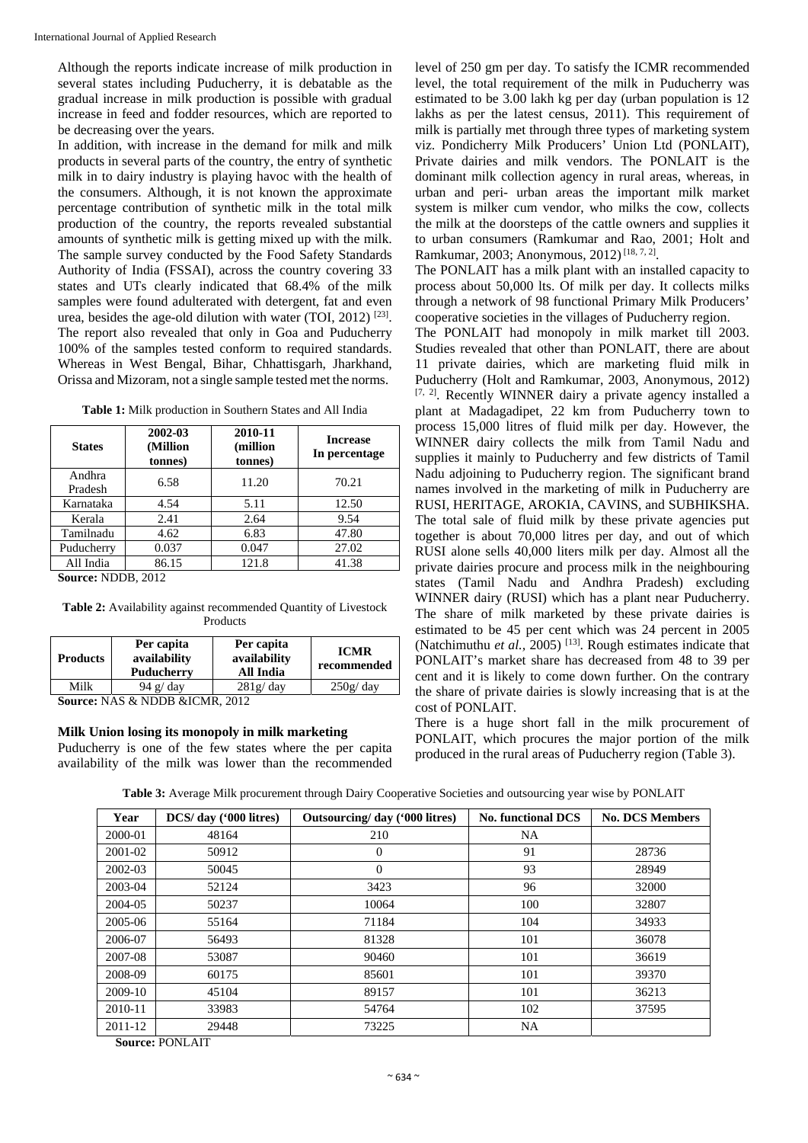Although the reports indicate increase of milk production in several states including Puducherry, it is debatable as the gradual increase in milk production is possible with gradual increase in feed and fodder resources, which are reported to be decreasing over the years.

In addition, with increase in the demand for milk and milk products in several parts of the country, the entry of synthetic milk in to dairy industry is playing havoc with the health of the consumers. Although, it is not known the approximate percentage contribution of synthetic milk in the total milk production of the country, the reports revealed substantial amounts of synthetic milk is getting mixed up with the milk. The sample survey conducted by the Food Safety Standards Authority of India (FSSAI), across the country covering 33 states and UTs clearly indicated that 68.4% of the milk samples were found adulterated with detergent, fat and even urea, besides the age-old dilution with water (TOI, 2012) [23]. The report also revealed that only in Goa and Puducherry 100% of the samples tested conform to required standards. Whereas in West Bengal, Bihar, Chhattisgarh, Jharkhand, Orissa and Mizoram, not a single sample tested met the norms.

| <b>States</b>       | 2002-03<br>(Million<br>tonnes) | 2010-11<br>(million<br>tonnes) | <b>Increase</b><br>In percentage |  |  |
|---------------------|--------------------------------|--------------------------------|----------------------------------|--|--|
| Andhra<br>Pradesh   | 6.58                           | 11.20                          | 70.21                            |  |  |
| Karnataka           | 4.54                           | 5.11                           | 12.50                            |  |  |
| Kerala              | 2.41                           | 2.64                           | 9.54                             |  |  |
| Tamilnadu           | 4.62                           | 6.83                           | 47.80                            |  |  |
| Puducherry          | 0.037                          | 0.047                          | 27.02                            |  |  |
| All India           | 86.15                          | 121.8                          | 41.38                            |  |  |
| Course NDDR<br>2012 |                                |                                |                                  |  |  |

**Source:** NDDB, 2012

**Table 2:** Availability against recommended Quantity of Livestock **Products** 

| <b>Products</b> | Per capita<br>availability<br>Puducherry | Per capita<br>availability<br>All India | <b>ICMR</b><br>recommended |
|-----------------|------------------------------------------|-----------------------------------------|----------------------------|
| Milk            | 94 $g$ / day                             | $281g$ day                              | 250g/day                   |

**Source:** NAS & NDDB &ICMR, 2012

#### **Milk Union losing its monopoly in milk marketing**

Puducherry is one of the few states where the per capita availability of the milk was lower than the recommended level of 250 gm per day. To satisfy the ICMR recommended level, the total requirement of the milk in Puducherry was estimated to be 3.00 lakh kg per day (urban population is 12 lakhs as per the latest census, 2011). This requirement of milk is partially met through three types of marketing system viz. Pondicherry Milk Producers' Union Ltd (PONLAIT), Private dairies and milk vendors. The PONLAIT is the dominant milk collection agency in rural areas, whereas, in urban and peri- urban areas the important milk market system is milker cum vendor, who milks the cow, collects the milk at the doorsteps of the cattle owners and supplies it to urban consumers (Ramkumar and Rao, 2001; Holt and Ramkumar, 2003; Anonymous, 2012) [18, 7, 2].

The PONLAIT has a milk plant with an installed capacity to process about 50,000 lts. Of milk per day. It collects milks through a network of 98 functional Primary Milk Producers' cooperative societies in the villages of Puducherry region.

The PONLAIT had monopoly in milk market till 2003. Studies revealed that other than PONLAIT, there are about 11 private dairies, which are marketing fluid milk in Puducherry (Holt and Ramkumar, 2003, Anonymous, 2012) [7, 2]. Recently WINNER dairy a private agency installed a plant at Madagadipet, 22 km from Puducherry town to process 15,000 litres of fluid milk per day. However, the WINNER dairy collects the milk from Tamil Nadu and supplies it mainly to Puducherry and few districts of Tamil Nadu adjoining to Puducherry region. The significant brand names involved in the marketing of milk in Puducherry are RUSI, HERITAGE, AROKIA, CAVINS, and SUBHIKSHA. The total sale of fluid milk by these private agencies put together is about 70,000 litres per day, and out of which RUSI alone sells 40,000 liters milk per day. Almost all the private dairies procure and process milk in the neighbouring states (Tamil Nadu and Andhra Pradesh) excluding WINNER dairy (RUSI) which has a plant near Puducherry. The share of milk marketed by these private dairies is estimated to be 45 per cent which was 24 percent in 2005 (Natchimuthu *et al.,* 2005) [13]. Rough estimates indicate that PONLAIT's market share has decreased from 48 to 39 per cent and it is likely to come down further. On the contrary the share of private dairies is slowly increasing that is at the cost of PONLAIT.

There is a huge short fall in the milk procurement of PONLAIT, which procures the major portion of the milk produced in the rural areas of Puducherry region (Table 3).

**Table 3:** Average Milk procurement through Dairy Cooperative Societies and outsourcing year wise by PONLAIT

| Year    | DCS/ day ('000 litres) | Outsourcing/day ('000 litres) | <b>No. functional DCS</b> | <b>No. DCS Members</b> |
|---------|------------------------|-------------------------------|---------------------------|------------------------|
| 2000-01 | 48164                  | 210                           | <b>NA</b>                 |                        |
| 2001-02 | 50912                  | $\theta$                      | 91                        | 28736                  |
| 2002-03 | 50045                  | $\theta$                      | 93                        | 28949                  |
| 2003-04 | 52124                  | 3423                          | 96                        | 32000                  |
| 2004-05 | 50237                  | 10064                         | 100                       | 32807                  |
| 2005-06 | 55164                  | 71184                         | 104                       | 34933                  |
| 2006-07 | 56493                  | 81328                         | 101                       | 36078                  |
| 2007-08 | 53087                  | 90460                         | 101                       | 36619                  |
| 2008-09 | 60175                  | 85601                         | 101                       | 39370                  |
| 2009-10 | 45104                  | 89157                         | 101                       | 36213                  |
| 2010-11 | 33983                  | 54764                         | 102                       | 37595                  |
| 2011-12 | 29448                  | 73225                         | <b>NA</b>                 |                        |

**Source:** PONLAIT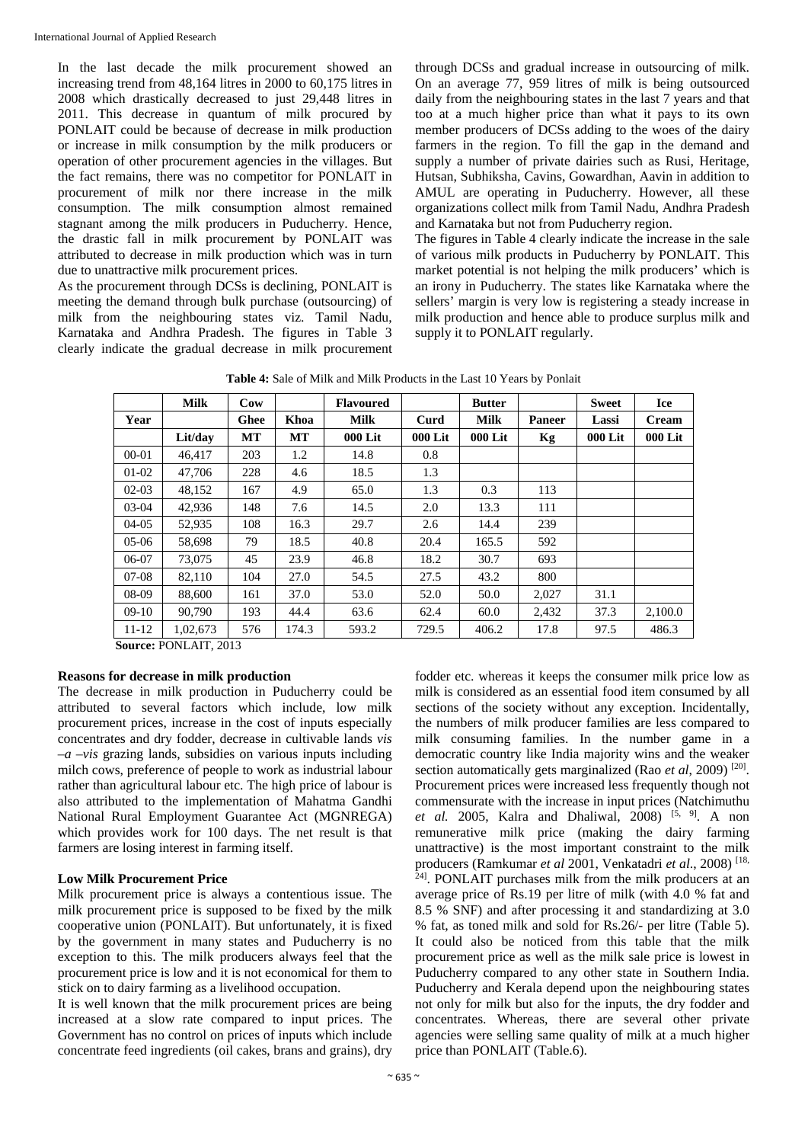In the last decade the milk procurement showed an increasing trend from 48,164 litres in 2000 to 60,175 litres in 2008 which drastically decreased to just 29,448 litres in 2011. This decrease in quantum of milk procured by PONLAIT could be because of decrease in milk production or increase in milk consumption by the milk producers or operation of other procurement agencies in the villages. But the fact remains, there was no competitor for PONLAIT in procurement of milk nor there increase in the milk consumption. The milk consumption almost remained stagnant among the milk producers in Puducherry. Hence, the drastic fall in milk procurement by PONLAIT was attributed to decrease in milk production which was in turn due to unattractive milk procurement prices.

As the procurement through DCSs is declining, PONLAIT is meeting the demand through bulk purchase (outsourcing) of milk from the neighbouring states viz. Tamil Nadu, Karnataka and Andhra Pradesh. The figures in Table 3 clearly indicate the gradual decrease in milk procurement through DCSs and gradual increase in outsourcing of milk. On an average 77, 959 litres of milk is being outsourced daily from the neighbouring states in the last 7 years and that too at a much higher price than what it pays to its own member producers of DCSs adding to the woes of the dairy farmers in the region. To fill the gap in the demand and supply a number of private dairies such as Rusi, Heritage, Hutsan, Subhiksha, Cavins, Gowardhan, Aavin in addition to AMUL are operating in Puducherry. However, all these organizations collect milk from Tamil Nadu, Andhra Pradesh and Karnataka but not from Puducherry region.

The figures in Table 4 clearly indicate the increase in the sale of various milk products in Puducherry by PONLAIT. This market potential is not helping the milk producers' which is an irony in Puducherry. The states like Karnataka where the sellers' margin is very low is registering a steady increase in milk production and hence able to produce surplus milk and supply it to PONLAIT regularly.

|           | <b>Milk</b>                        | Cow  |       | <b>Flavoured</b> |         | <b>Butter</b> |               | <b>Sweet</b>   | <b>Ice</b>   |
|-----------|------------------------------------|------|-------|------------------|---------|---------------|---------------|----------------|--------------|
| Year      |                                    | Ghee | Khoa  | <b>Milk</b>      | Curd    | <b>Milk</b>   | <b>Paneer</b> | Lassi          | <b>Cream</b> |
|           | Lit/day                            | MT   | MT    | <b>000 Lit</b>   | 000 Lit | 000 Lit       | Kg            | <b>000 Lit</b> | 000 Lit      |
| $00 - 01$ | 46.417                             | 203  | 1.2   | 14.8             | 0.8     |               |               |                |              |
| $01-02$   | 47,706                             | 228  | 4.6   | 18.5             | 1.3     |               |               |                |              |
| $02-03$   | 48,152                             | 167  | 4.9   | 65.0             | 1.3     | 0.3           | 113           |                |              |
| $03-04$   | 42,936                             | 148  | 7.6   | 14.5             | 2.0     | 13.3          | 111           |                |              |
| $04-05$   | 52,935                             | 108  | 16.3  | 29.7             | 2.6     | 14.4          | 239           |                |              |
| $05-06$   | 58.698                             | 79   | 18.5  | 40.8             | 20.4    | 165.5         | 592           |                |              |
| 06-07     | 73,075                             | 45   | 23.9  | 46.8             | 18.2    | 30.7          | 693           |                |              |
| $07-08$   | 82,110                             | 104  | 27.0  | 54.5             | 27.5    | 43.2          | 800           |                |              |
| 08-09     | 88,600                             | 161  | 37.0  | 53.0             | 52.0    | 50.0          | 2,027         | 31.1           |              |
| $09-10$   | 90.790                             | 193  | 44.4  | 63.6             | 62.4    | 60.0          | 2,432         | 37.3           | 2,100.0      |
| $11 - 12$ | 1.02.673                           | 576  | 174.3 | 593.2            | 729.5   | 406.2         | 17.8          | 97.5           | 486.3        |
|           | $C_{\text{average}}$ DOME AIT 2012 |      |       |                  |         |               |               |                |              |

**Table 4:** Sale of Milk and Milk Products in the Last 10 Years by Ponlait

**Source:** PONLAIT, 2013

# **Reasons for decrease in milk production**

The decrease in milk production in Puducherry could be attributed to several factors which include, low milk procurement prices, increase in the cost of inputs especially concentrates and dry fodder, decrease in cultivable lands *vis –a –vis* grazing lands, subsidies on various inputs including milch cows, preference of people to work as industrial labour rather than agricultural labour etc. The high price of labour is also attributed to the implementation of Mahatma Gandhi National Rural Employment Guarantee Act (MGNREGA) which provides work for 100 days. The net result is that farmers are losing interest in farming itself.

# **Low Milk Procurement Price**

Milk procurement price is always a contentious issue. The milk procurement price is supposed to be fixed by the milk cooperative union (PONLAIT). But unfortunately, it is fixed by the government in many states and Puducherry is no exception to this. The milk producers always feel that the procurement price is low and it is not economical for them to stick on to dairy farming as a livelihood occupation.

It is well known that the milk procurement prices are being increased at a slow rate compared to input prices. The Government has no control on prices of inputs which include concentrate feed ingredients (oil cakes, brans and grains), dry fodder etc. whereas it keeps the consumer milk price low as milk is considered as an essential food item consumed by all sections of the society without any exception. Incidentally, the numbers of milk producer families are less compared to milk consuming families. In the number game in a democratic country like India majority wins and the weaker section automatically gets marginalized (Rao *et al.* 2009)<sup>[20]</sup>. Procurement prices were increased less frequently though not commensurate with the increase in input prices (Natchimuthu *et al.* 2005, Kalra and Dhaliwal, 2008) [5, 9]. A non remunerative milk price (making the dairy farming unattractive) is the most important constraint to the milk producers (Ramkumar *et al* 2001, Venkatadri *et al*., 2008) [18, 24]. PONLAIT purchases milk from the milk producers at an average price of Rs.19 per litre of milk (with 4.0 % fat and 8.5 % SNF) and after processing it and standardizing at 3.0 % fat, as toned milk and sold for Rs.26/- per litre (Table 5). It could also be noticed from this table that the milk procurement price as well as the milk sale price is lowest in Puducherry compared to any other state in Southern India. Puducherry and Kerala depend upon the neighbouring states not only for milk but also for the inputs, the dry fodder and concentrates. Whereas, there are several other private agencies were selling same quality of milk at a much higher price than PONLAIT (Table.6).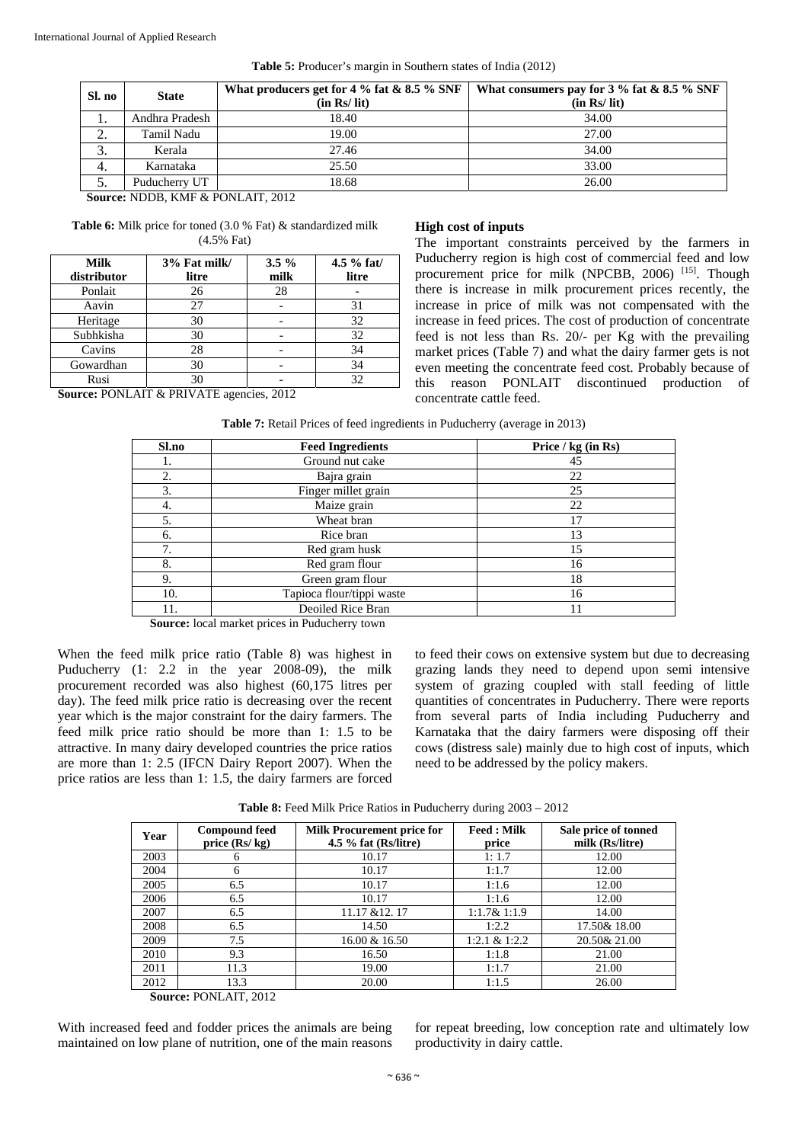| Sl. no         | <b>State</b>   | What producers get for 4 % fat & 8.5 % SNF<br>(in Rs/ lit) | What consumers pay for $3\%$ fat & $8.5\%$ SNF<br>(in Rs/ lit) |
|----------------|----------------|------------------------------------------------------------|----------------------------------------------------------------|
| 1.             | Andhra Pradesh | 18.40                                                      | 34.00                                                          |
| $\gamma$<br>z. | Tamil Nadu     | 19.00                                                      | 27.00                                                          |
| J.             | Kerala         | 27.46                                                      | 34.00                                                          |
| 4.             | Karnataka      | 25.50                                                      | 33.00                                                          |
| J.             | Puducherry UT  | 18.68                                                      | 26.00                                                          |

**Table 5:** Producer's margin in Southern states of India (2012)

**Source:** NDDB, KMF & PONLAIT, 2012

**Table 6:** Milk price for toned (3.0 % Fat) & standardized milk (4.5% Fat)

| Milk<br>distributor | 3% Fat milk/<br>litre | $3.5\%$<br>milk | $4.5 \%$ fat/<br>litre |
|---------------------|-----------------------|-----------------|------------------------|
| Ponlait             | 26                    | 28              |                        |
| Aavin               | 27                    |                 | 31                     |
| Heritage            | 30                    |                 | 32                     |
| Subhkisha           | 30                    |                 | 32                     |
| Cavins              | 28                    |                 | 34                     |
| Gowardhan           | 30                    |                 | 34                     |
| Rusi                | 30                    |                 | 32                     |

**Source:** PONLAIT & PRIVATE agencies, 2012

# **High cost of inputs**

The important constraints perceived by the farmers in Puducherry region is high cost of commercial feed and low procurement price for milk (NPCBB, 2006)<sup>[15]</sup>. Though there is increase in milk procurement prices recently, the increase in price of milk was not compensated with the increase in feed prices. The cost of production of concentrate feed is not less than Rs. 20/- per Kg with the prevailing market prices (Table 7) and what the dairy farmer gets is not even meeting the concentrate feed cost. Probably because of this reason PONLAIT discontinued production of concentrate cattle feed.

**Table 7:** Retail Prices of feed ingredients in Puducherry (average in 2013)

| Sl.no | <b>Feed Ingredients</b>   | Price / kg (in Rs) |
|-------|---------------------------|--------------------|
|       | Ground nut cake           | 45                 |
| 2.    | Bajra grain               | 22                 |
| 3.    | Finger millet grain       | 25                 |
| 4.    | Maize grain               | 22                 |
| 5.    | Wheat bran                | 17                 |
| 6.    | Rice bran                 | 13                 |
| 7.    | Red gram husk             | 15                 |
| 8.    | Red gram flour            | 16                 |
| 9.    | Green gram flour          | 18                 |
| 10.   | Tapioca flour/tippi waste | 16                 |
|       | Deoiled Rice Bran         | 11                 |

 **Source:** local market prices in Puducherry town

When the feed milk price ratio (Table 8) was highest in Puducherry (1: 2.2 in the year 2008-09), the milk procurement recorded was also highest (60,175 litres per day). The feed milk price ratio is decreasing over the recent year which is the major constraint for the dairy farmers. The feed milk price ratio should be more than 1: 1.5 to be attractive. In many dairy developed countries the price ratios are more than 1: 2.5 (IFCN Dairy Report 2007). When the price ratios are less than 1: 1.5, the dairy farmers are forced

to feed their cows on extensive system but due to decreasing grazing lands they need to depend upon semi intensive system of grazing coupled with stall feeding of little quantities of concentrates in Puducherry. There were reports from several parts of India including Puducherry and Karnataka that the dairy farmers were disposing off their cows (distress sale) mainly due to high cost of inputs, which need to be addressed by the policy makers.

**Table 8:** Feed Milk Price Ratios in Puducherry during 2003 – 2012

| <b>Compound feed</b><br>price $(Rs/kg)$ | <b>Milk Procurement price for</b><br>4.5 $%$ fat (Rs/litre) | <b>Feed</b> : Milk<br>price | Sale price of tonned<br>milk (Rs/litre) |
|-----------------------------------------|-------------------------------------------------------------|-----------------------------|-----------------------------------------|
| 6                                       | 10.17                                                       | 1:1.7                       | 12.00                                   |
| 6                                       | 10.17                                                       | 1:1.7                       | 12.00                                   |
| 6.5                                     | 10.17                                                       | 1:1.6                       | 12.00                                   |
| 6.5                                     | 10.17                                                       | 1:1.6                       | 12.00                                   |
| 6.5                                     | 11.17 & 12.17                                               | 1:1.7& 1:1.9                | 14.00                                   |
| 6.5                                     | 14.50                                                       | 1:2.2                       | 17.50& 18.00                            |
| 7.5                                     | 16.00 & 16.50                                               | 1:2.1 & 1:2.2               | 20.50& 21.00                            |
| 9.3                                     | 16.50                                                       | 1:1.8                       | 21.00                                   |
| 11.3                                    | 19.00                                                       | 1:1.7                       | 21.00                                   |
| 13.3                                    | 20.00                                                       | 1:1.5                       | 26.00                                   |
|                                         |                                                             |                             |                                         |

 **Source:** PONLAIT, 2012

With increased feed and fodder prices the animals are being maintained on low plane of nutrition, one of the main reasons for repeat breeding, low conception rate and ultimately low productivity in dairy cattle.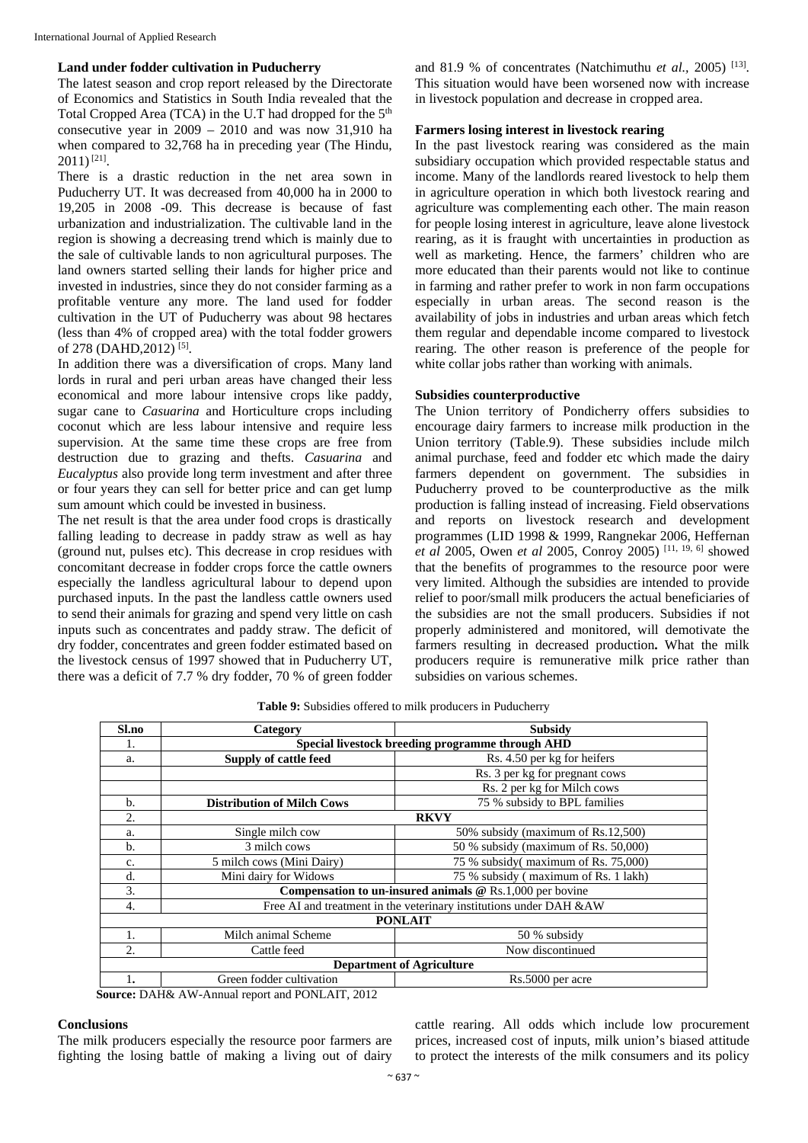# **Land under fodder cultivation in Puducherry**

The latest season and crop report released by the Directorate of Economics and Statistics in South India revealed that the Total Cropped Area (TCA) in the U.T had dropped for the  $5<sup>th</sup>$ consecutive year in 2009 – 2010 and was now 31,910 ha when compared to 32,768 ha in preceding year (The Hindu,  $2011$ <sup>[21]</sup>.

There is a drastic reduction in the net area sown in Puducherry UT. It was decreased from 40,000 ha in 2000 to 19,205 in 2008 -09. This decrease is because of fast urbanization and industrialization. The cultivable land in the region is showing a decreasing trend which is mainly due to the sale of cultivable lands to non agricultural purposes. The land owners started selling their lands for higher price and invested in industries, since they do not consider farming as a profitable venture any more. The land used for fodder cultivation in the UT of Puducherry was about 98 hectares (less than 4% of cropped area) with the total fodder growers of 278 (DAHD, 2012)<sup>[5]</sup>.

In addition there was a diversification of crops. Many land lords in rural and peri urban areas have changed their less economical and more labour intensive crops like paddy, sugar cane to *Casuarina* and Horticulture crops including coconut which are less labour intensive and require less supervision. At the same time these crops are free from destruction due to grazing and thefts. *Casuarina* and *Eucalyptus* also provide long term investment and after three or four years they can sell for better price and can get lump sum amount which could be invested in business.

The net result is that the area under food crops is drastically falling leading to decrease in paddy straw as well as hay (ground nut, pulses etc). This decrease in crop residues with concomitant decrease in fodder crops force the cattle owners especially the landless agricultural labour to depend upon purchased inputs. In the past the landless cattle owners used to send their animals for grazing and spend very little on cash inputs such as concentrates and paddy straw. The deficit of dry fodder, concentrates and green fodder estimated based on the livestock census of 1997 showed that in Puducherry UT, there was a deficit of 7.7 % dry fodder, 70 % of green fodder and 81.9 % of concentrates (Natchimuthu *et al.,* 2005) [13]. This situation would have been worsened now with increase in livestock population and decrease in cropped area.

# **Farmers losing interest in livestock rearing**

In the past livestock rearing was considered as the main subsidiary occupation which provided respectable status and income. Many of the landlords reared livestock to help them in agriculture operation in which both livestock rearing and agriculture was complementing each other. The main reason for people losing interest in agriculture, leave alone livestock rearing, as it is fraught with uncertainties in production as well as marketing. Hence, the farmers' children who are more educated than their parents would not like to continue in farming and rather prefer to work in non farm occupations especially in urban areas. The second reason is the availability of jobs in industries and urban areas which fetch them regular and dependable income compared to livestock rearing. The other reason is preference of the people for white collar jobs rather than working with animals.

# **Subsidies counterproductive**

The Union territory of Pondicherry offers subsidies to encourage dairy farmers to increase milk production in the Union territory (Table.9). These subsidies include milch animal purchase, feed and fodder etc which made the dairy farmers dependent on government. The subsidies in Puducherry proved to be counterproductive as the milk production is falling instead of increasing. Field observations and reports on livestock research and development programmes (LID 1998 & 1999, Rangnekar 2006, Heffernan *et al* 2005, Owen *et al* 2005, Conroy 2005) [11, 19, 6] showed that the benefits of programmes to the resource poor were very limited. Although the subsidies are intended to provide relief to poor/small milk producers the actual beneficiaries of the subsidies are not the small producers. Subsidies if not properly administered and monitored, will demotivate the farmers resulting in decreased production**.** What the milk producers require is remunerative milk price rather than subsidies on various schemes.

| Sl.no | Category                                                           | <b>Subsidy</b>                                             |  |  |  |
|-------|--------------------------------------------------------------------|------------------------------------------------------------|--|--|--|
| ı.    | Special livestock breeding programme through AHD                   |                                                            |  |  |  |
| a.    | Supply of cattle feed                                              | Rs. 4.50 per kg for heifers                                |  |  |  |
|       |                                                                    | Rs. 3 per kg for pregnant cows                             |  |  |  |
|       |                                                                    | Rs. 2 per kg for Milch cows                                |  |  |  |
| b.    | <b>Distribution of Milch Cows</b>                                  | 75 % subsidy to BPL families                               |  |  |  |
| 2.    | <b>RKVY</b>                                                        |                                                            |  |  |  |
| a.    | Single milch cow                                                   | 50% subsidy (maximum of Rs.12,500)                         |  |  |  |
| b.    | 3 milch cows                                                       | 50 % subsidy (maximum of Rs. 50,000)                       |  |  |  |
| c.    | 75 % subsidy (maximum of Rs. 75,000)<br>5 milch cows (Mini Dairy)  |                                                            |  |  |  |
| d.    | Mini dairy for Widows                                              | 75 % subsidy (maximum of Rs. 1 lakh)                       |  |  |  |
| 3.    |                                                                    | Compensation to un-insured animals $@$ Rs.1,000 per bovine |  |  |  |
| 4.    | Free AI and treatment in the veterinary institutions under DAH &AW |                                                            |  |  |  |
|       |                                                                    | <b>PONLAIT</b>                                             |  |  |  |
| 1.    | Milch animal Scheme                                                | 50 % subsidy                                               |  |  |  |
| 2.    | Cattle feed                                                        | Now discontinued                                           |  |  |  |
|       | <b>Department of Agriculture</b>                                   |                                                            |  |  |  |
| 1.    | Green fodder cultivation                                           | Rs.5000 per acre                                           |  |  |  |

**Table 9:** Subsidies offered to milk producers in Puducherry

**Source:** DAH& AW-Annual report and PONLAIT, 2012

# **Conclusions**

The milk producers especially the resource poor farmers are fighting the losing battle of making a living out of dairy cattle rearing. All odds which include low procurement prices, increased cost of inputs, milk union's biased attitude to protect the interests of the milk consumers and its policy